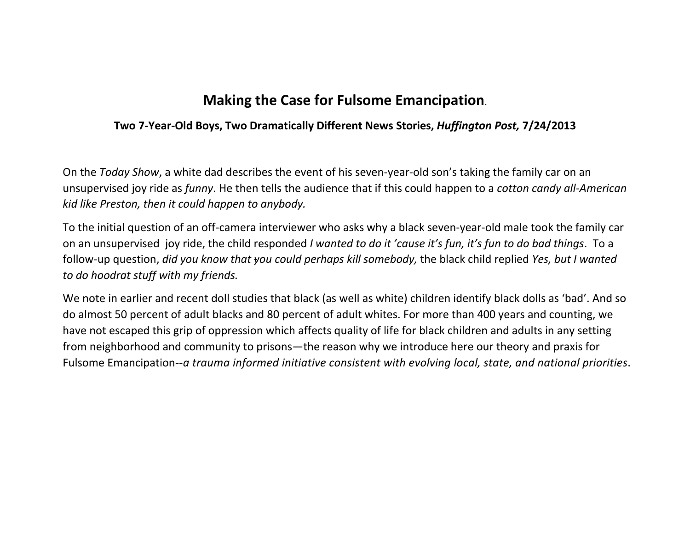# **Making the Case for Fulsome Emancipation**.

### **Two 7-Year-Old Boys, Two Dramatically Different News Stories,** *Huffington Post,* **7/24/2013**

On the *Today Show*, a white dad describes the event of his seven-year-old son's taking the family car on an unsupervised joy ride as *funny*. He then tells the audience that if this could happen to a *cotton candy all-American kid like Preston, then it could happen to anybody.*

To the initial question of an off-camera interviewer who asks why a black seven-year-old male took the family car on an unsupervised joy ride, the child responded *I wanted to do it 'cause it's fun, it's fun to do bad things*. To a follow-up question, *did you know that you could perhaps kill somebody,* the black child replied *Yes, but I wanted to do hoodrat stuff with my friends.*

We note in earlier and recent doll studies that black (as well as white) children identify black dolls as 'bad'. And so do almost 50 percent of adult blacks and 80 percent of adult whites. For more than 400 years and counting, we have not escaped this grip of oppression which affects quality of life for black children and adults in any setting from neighborhood and community to prisons—the reason why we introduce here our theory and praxis for Fulsome Emancipation--*a trauma informed initiative consistent with evolving local, state, and national priorities*.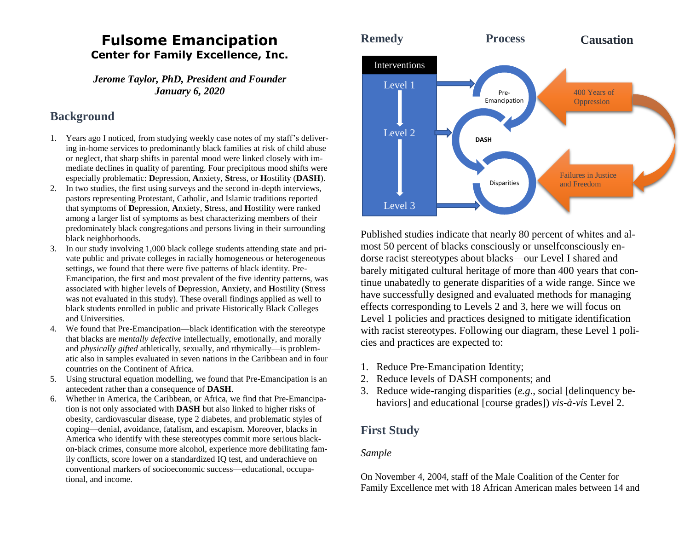## **Fulsome Emancipation Center for Family Excellence, Inc.**

*Jerome Taylor, PhD, President and Founder January 6, 2020*

### **Background**

- 1. Years ago I noticed, from studying weekly case notes of my staff's delivering in-home services to predominantly black families at risk of child abuse or neglect, that sharp shifts in parental mood were linked closely with immediate declines in quality of parenting. Four precipitous mood shifts were especially problematic: **D**epression, **A**nxiety, **St**ress, or **H**ostility (**DASH**).
- 2. In two studies, the first using surveys and the second in-depth interviews, pastors representing Protestant, Catholic, and Islamic traditions reported that symptoms of **D**epression, **A**nxiety, **S**tress, and **H**ostility were ranked among a larger list of symptoms as best characterizing members of their predominately black congregations and persons living in their surrounding black neighborhoods.
- 3. In our study involving 1,000 black college students attending state and private public and private colleges in racially homogeneous or heterogeneous settings, we found that there were five patterns of black identity. Pre-Emancipation, the first and most prevalent of the five identity patterns, was associated with higher levels of **D**epression, **A**nxiety, and **H**ostility (**S**tress was not evaluated in this study). These overall findings applied as well to black students enrolled in public and private Historically Black Colleges and Universities.
- 4. We found that Pre-Emancipation—black identification with the stereotype that blacks are *mentally defective* intellectually, emotionally, and morally and *physically gifted* athletically, sexually, and rthymically—is problematic also in samples evaluated in seven nations in the Caribbean and in four countries on the Continent of Africa.
- 5. Using structural equation modelling, we found that Pre-Emancipation is an antecedent rather than a consequence of **DASH**.
- 6. Whether in America, the Caribbean, or Africa, we find that Pre-Emancipation is not only associated with **DASH** but also linked to higher risks of obesity, cardiovascular disease, type 2 diabetes, and problematic styles of coping—denial, avoidance, fatalism, and escapism. Moreover, blacks in America who identify with these stereotypes commit more serious blackon-black crimes, consume more alcohol, experience more debilitating family conflicts, score lower on a standardized IQ test, and underachieve on conventional markers of socioeconomic success—educational, occupational, and income.



Published studies indicate that nearly 80 percent of whites and almost 50 percent of blacks consciously or unselfconsciously endorse racist stereotypes about blacks—our Level I shared and barely mitigated cultural heritage of more than 400 years that continue unabatedly to generate disparities of a wide range. Since we have successfully designed and evaluated methods for managing effects corresponding to Levels 2 and 3, here we will focus on Level 1 policies and practices designed to mitigate identification with racist stereotypes. Following our diagram, these Level 1 policies and practices are expected to:

- 1. Reduce Pre-Emancipation Identity;
- 2. Reduce levels of DASH components; and
- 3. Reduce wide-ranging disparities (*e.g*., social [delinquency behaviors] and educational [course grades]) *vis-à-vis* Level 2.

## **First Study**

### *Sample*

On November 4, 2004, staff of the Male Coalition of the Center for Family Excellence met with 18 African American males between 14 and